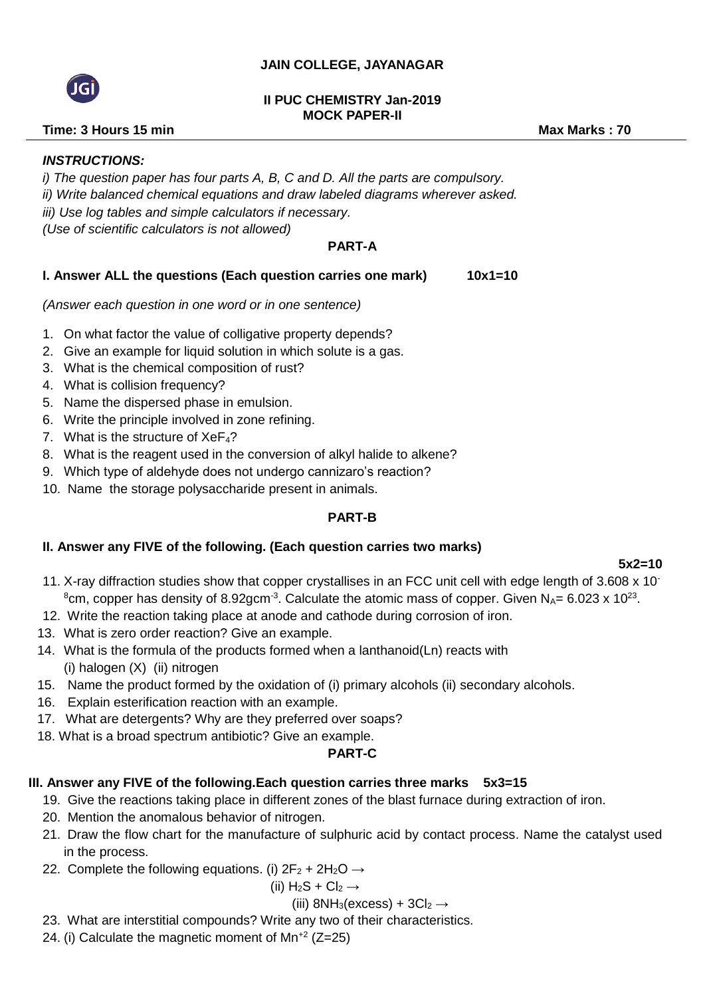### **JAIN COLLEGE, JAYANAGAR**

#### **II PUC CHEMISTRY Jan-2019 MOCK PAPER-II**

## **Time: 3 Hours 15 min** Max Marks : 70

## *INSTRUCTIONS:*

*i) The question paper has four parts A, B, C and D. All the parts are compulsory. ii) Write balanced chemical equations and draw labeled diagrams wherever asked. iii) Use log tables and simple calculators if necessary. (Use of scientific calculators is not allowed)*

## **PART-A**

### **I. Answer ALL the questions (Each question carries one mark) 10x1=10**

*(Answer each question in one word or in one sentence)*

- 1. On what factor the value of colligative property depends?
- 2. Give an example for liquid solution in which solute is a gas.
- 3. What is the chemical composition of rust?
- 4. What is collision frequency?
- 5. Name the dispersed phase in emulsion.
- 6. Write the principle involved in zone refining.
- 7. What is the structure of  $XeF<sub>4</sub>$ ?
- 8. What is the reagent used in the conversion of alkyl halide to alkene?
- 9. Which type of aldehyde does not undergo cannizaro's reaction?
- 10. Name the storage polysaccharide present in animals.

#### **PART-B**

## **II. Answer any FIVE of the following. (Each question carries two marks)**

 **5x2=10** 

- 11. X-ray diffraction studies show that copper crystallises in an FCC unit cell with edge length of 3.608 x 10- <sup>8</sup>cm, copper has density of 8.92gcm<sup>-3</sup>. Calculate the atomic mass of copper. Given N<sub>A</sub>= 6.023 x 10<sup>23</sup>.
- 12. Write the reaction taking place at anode and cathode during corrosion of iron.
- 13. What is zero order reaction? Give an example.
- 14. What is the formula of the products formed when a lanthanoid(Ln) reacts with (i) halogen (X) (ii) nitrogen
- 15. Name the product formed by the oxidation of (i) primary alcohols (ii) secondary alcohols.
- 16. Explain esterification reaction with an example.
- 17. What are detergents? Why are they preferred over soaps?
- 18. What is a broad spectrum antibiotic? Give an example.

#### **PART-C**

## **III. Answer any FIVE of the following.Each question carries three marks 5x3=15**

- 19. Give the reactions taking place in different zones of the blast furnace during extraction of iron.
- 20. Mention the anomalous behavior of nitrogen.
- 21. Draw the flow chart for the manufacture of sulphuric acid by contact process. Name the catalyst used in the process.
- 22. Complete the following equations. (i)  $2F_2 + 2H_2O \rightarrow$

$$
(ii) H2S + Cl2 \rightarrow
$$

#### (iii) 8NH<sub>3</sub>(excess) +  $3Cl<sub>2</sub>$   $\rightarrow$

- 23. What are interstitial compounds? Write any two of their characteristics.
- 24. (i) Calculate the magnetic moment of  $Mn^{+2}$  (Z=25)